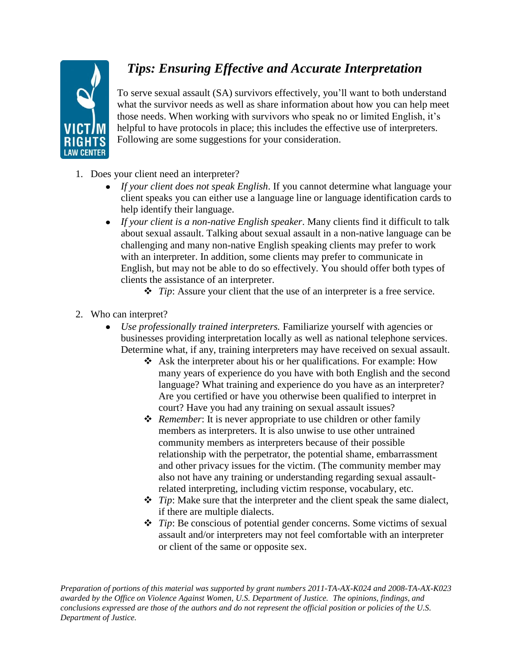

## *Tips: Ensuring Effective and Accurate Interpretation*

To serve sexual assault (SA) survivors effectively, you'll want to both understand what the survivor needs as well as share information about how you can help meet those needs. When working with survivors who speak no or limited English, it's helpful to have protocols in place; this includes the effective use of interpreters. Following are some suggestions for your consideration.

- 1. Does your client need an interpreter?
	- *If your client does not speak English*. If you cannot determine what language your client speaks you can either use a language line or language identification cards to help identify their language.
	- *If your client is a non-native English speaker*. Many clients find it difficult to talk about sexual assault. Talking about sexual assault in a non-native language can be challenging and many non-native English speaking clients may prefer to work with an interpreter. In addition, some clients may prefer to communicate in English, but may not be able to do so effectively. You should offer both types of clients the assistance of an interpreter.
		- *Tip*: Assure your client that the use of an interpreter is a free service.
- 2. Who can interpret?
	- *Use professionally trained interpreters.* Familiarize yourself with agencies or businesses providing interpretation locally as well as national telephone services. Determine what, if any, training interpreters may have received on sexual assault.
		- $\triangleleft$  Ask the interpreter about his or her qualifications. For example: How many years of experience do you have with both English and the second language? What training and experience do you have as an interpreter? Are you certified or have you otherwise been qualified to interpret in court? Have you had any training on sexual assault issues?
		- *Remember*: It is never appropriate to use children or other family members as interpreters. It is also unwise to use other untrained community members as interpreters because of their possible relationship with the perpetrator, the potential shame, embarrassment and other privacy issues for the victim. (The community member may also not have any training or understanding regarding sexual assaultrelated interpreting, including victim response, vocabulary, etc.
		- *Tip*: Make sure that the interpreter and the client speak the same dialect, if there are multiple dialects.
		- *Tip*: Be conscious of potential gender concerns. Some victims of sexual assault and/or interpreters may not feel comfortable with an interpreter or client of the same or opposite sex.

*Preparation of portions of this material was supported by grant numbers 2011-TA-AX-K024 and 2008-TA-AX-K023 awarded by the Office on Violence Against Women, U.S. Department of Justice. The opinions, findings, and conclusions expressed are those of the authors and do not represent the official position or policies of the U.S. Department of Justice.*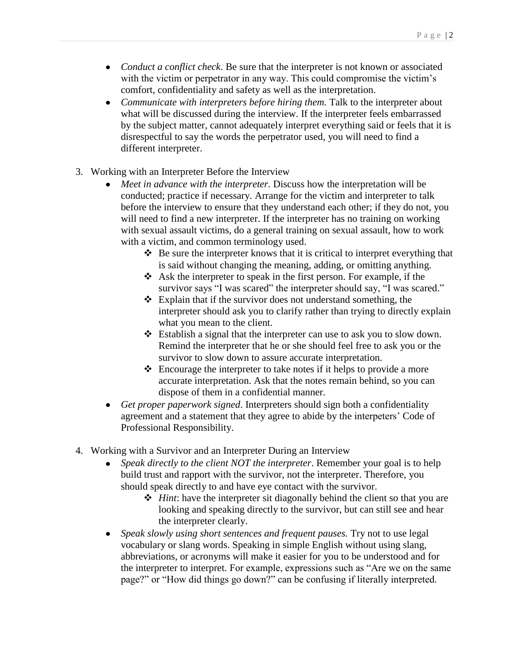- *Conduct a conflict check*. Be sure that the interpreter is not known or associated with the victim or perpetrator in any way. This could compromise the victim's comfort, confidentiality and safety as well as the interpretation.
- *Communicate with interpreters before hiring them.* Talk to the interpreter about  $\bullet$ what will be discussed during the interview. If the interpreter feels embarrassed by the subject matter, cannot adequately interpret everything said or feels that it is disrespectful to say the words the perpetrator used, you will need to find a different interpreter.
- 3. Working with an Interpreter Before the Interview
	- *Meet in advance with the interpreter.* Discuss how the interpretation will be conducted; practice if necessary. Arrange for the victim and interpreter to talk before the interview to ensure that they understand each other; if they do not, you will need to find a new interpreter. If the interpreter has no training on working with sexual assault victims, do a general training on sexual assault, how to work with a victim, and common terminology used.
		- $\triangle$  Be sure the interpreter knows that it is critical to interpret everything that is said without changing the meaning, adding, or omitting anything.
		- $\triangleleft$  Ask the interpreter to speak in the first person. For example, if the survivor says "I was scared" the interpreter should say, "I was scared."
		- $\triangle$  Explain that if the survivor does not understand something, the interpreter should ask you to clarify rather than trying to directly explain what you mean to the client.
		- Establish a signal that the interpreter can use to ask you to slow down. Remind the interpreter that he or she should feel free to ask you or the survivor to slow down to assure accurate interpretation.
		- $\triangle$  Encourage the interpreter to take notes if it helps to provide a more accurate interpretation. Ask that the notes remain behind, so you can dispose of them in a confidential manner.
	- $\bullet$ *Get proper paperwork signed*. Interpreters should sign both a confidentiality agreement and a statement that they agree to abide by the interpeters' Code of Professional Responsibility.
- 4. Working with a Survivor and an Interpreter During an Interview
	- *Speak directly to the client NOT the interpreter*. Remember your goal is to help  $\bullet$ build trust and rapport with the survivor, not the interpreter. Therefore, you should speak directly to and have eye contact with the survivor.
		- *Hint*: have the interpreter sit diagonally behind the client so that you are looking and speaking directly to the survivor, but can still see and hear the interpreter clearly.
	- *Speak slowly using short sentences and frequent pauses.* Try not to use legal  $\bullet$ vocabulary or slang words. Speaking in simple English without using slang, abbreviations, or acronyms will make it easier for you to be understood and for the interpreter to interpret. For example, expressions such as "Are we on the same page?" or "How did things go down?" can be confusing if literally interpreted.